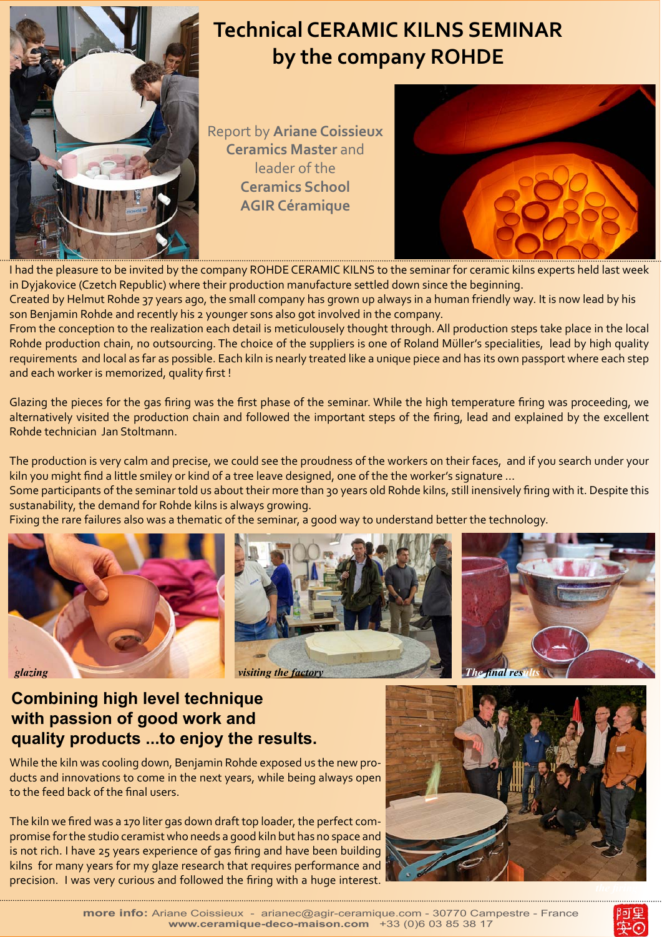

## **Technical CERAMIC KILNS SEMINAR by the company ROHDE**

Report by **Ariane Coissieux Ceramics Master** and leader of the **Ceramics School AGIR Céramique** 



I had the pleasure to be invited by the company ROHDE CERAMIC KILNS to the seminar for ceramic kilns experts held last week in Dyjakovice (Czetch Republic) where their production manufacture settled down since the beginning.

Created by Helmut Rohde 37 years ago, the small company has grown up always in a human friendly way. It is now lead by his son Benjamin Rohde and recently his 2 younger sons also got involved in the company.

From the conception to the realization each detail is meticulousely thought through. All production steps take place in the local Rohde production chain, no outsourcing. The choice of the suppliers is one of Roland Müller's specialities, lead by high quality requirements and local as far as possible. Each kiln is nearly treated like a unique piece and has its own passport where each step and each worker is memorized, quality first !

Glazing the pieces for the gas firing was the first phase of the seminar. While the high temperature firing was proceeding, we alternatively visited the production chain and followed the important steps of the firing, lead and explained by the excellent Rohde technician Jan Stoltmann.

The production is very calm and precise, we could see the proudness of the workers on their faces, and if you search under your kiln you might find a little smiley or kind of a tree leave designed, one of the the worker's signature ...

Some participants of the seminar told us about their more than 30 years old Rohde kilns, still inensively firing with it. Despite this sustanability, the demand for Rohde kilns is always growing.

Fixing the rare failures also was a thematic of the seminar, a good way to understand better the technology.







## **Combining high level technique with passion of good work and quality products ...to enjoy the results.**

While the kiln was cooling down, Benjamin Rohde exposed us the new products and innovations to come in the next years, while being always open to the feed back of the final users.

The kiln we fired was a 170 liter gas down draft top loader, the perfect compromise for the studio ceramist who needs a good kiln but has no space and is not rich. I have 25 years experience of gas firing and have been building kilns for many years for my glaze research that requires performance and precision. I was very curious and followed the firing with a huge interest.